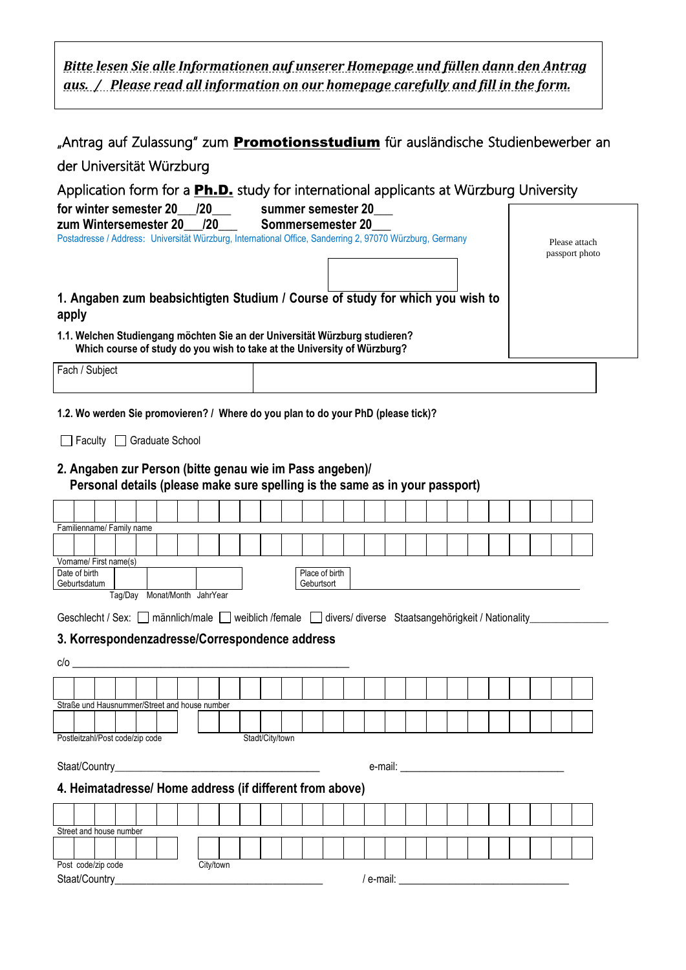*Bitte lesen Sie alle Informationen auf unserer Homepage und füllen dann den Antrag aus. / Please read all information on our homepage carefully and fill in the form.*

|                                                                                                                                                                                                          | "Antrag auf Zulassung" zum <b>Promotionsstudium</b> für ausländische Studienbewerber an |
|----------------------------------------------------------------------------------------------------------------------------------------------------------------------------------------------------------|-----------------------------------------------------------------------------------------|
| der Universität Würzburg                                                                                                                                                                                 |                                                                                         |
| Application form for a <b>Ph.D.</b> study for international applicants at Würzburg University<br>for winter semester 20 /20<br>summer semester 20                                                        |                                                                                         |
| 120<br>zum Wintersemester 20<br>Sommersemester 20<br>Postadresse / Address: Universität Würzburg, International Office, Sanderring 2, 97070 Würzburg, Germany                                            | Please attach<br>passport photo                                                         |
| 1. Angaben zum beabsichtigten Studium / Course of study for which you wish to<br>apply                                                                                                                   |                                                                                         |
| 1.1. Welchen Studiengang möchten Sie an der Universität Würzburg studieren?<br>Which course of study do you wish to take at the University of Würzburg?                                                  |                                                                                         |
| Fach / Subject                                                                                                                                                                                           |                                                                                         |
| 1.2. Wo werden Sie promovieren? / Where do you plan to do your PhD (please tick)?                                                                                                                        |                                                                                         |
| Faculty Graduate School<br>2. Angaben zur Person (bitte genau wie im Pass angeben)/<br>Personal details (please make sure spelling is the same as in your passport)                                      |                                                                                         |
|                                                                                                                                                                                                          |                                                                                         |
| Familienname/ Family name                                                                                                                                                                                |                                                                                         |
|                                                                                                                                                                                                          |                                                                                         |
| Vorname/ First name(s)                                                                                                                                                                                   |                                                                                         |
| Date of birth<br>Place of birth<br>Geburtsdatum<br>Geburtsort                                                                                                                                            |                                                                                         |
| Tag/Day Monat/Month JahrYear<br>Geschlecht / Sex:   männlich/male   weiblich /female   divers/ diverse Staatsangehörigkeit / Nationality<br>3. Korrespondenzadresse/Correspondence address<br>$c/o$ $\_$ |                                                                                         |
|                                                                                                                                                                                                          |                                                                                         |
| Straße und Hausnummer/Street and house number                                                                                                                                                            |                                                                                         |
|                                                                                                                                                                                                          |                                                                                         |
| Postleitzahl/Post code/zip code<br>Stadt/City/town                                                                                                                                                       |                                                                                         |
| <u> 1989 - Johann Barbara, martxa alemaniar a</u><br>Staat/Country_<br>4. Heimatadresse/ Home address (if different from above)                                                                          |                                                                                         |
|                                                                                                                                                                                                          |                                                                                         |
| Street and house number                                                                                                                                                                                  |                                                                                         |
|                                                                                                                                                                                                          |                                                                                         |
| Post code/zip code<br>City/town                                                                                                                                                                          |                                                                                         |
| Staat/Country_                                                                                                                                                                                           | $/$ e-mail:                                                                             |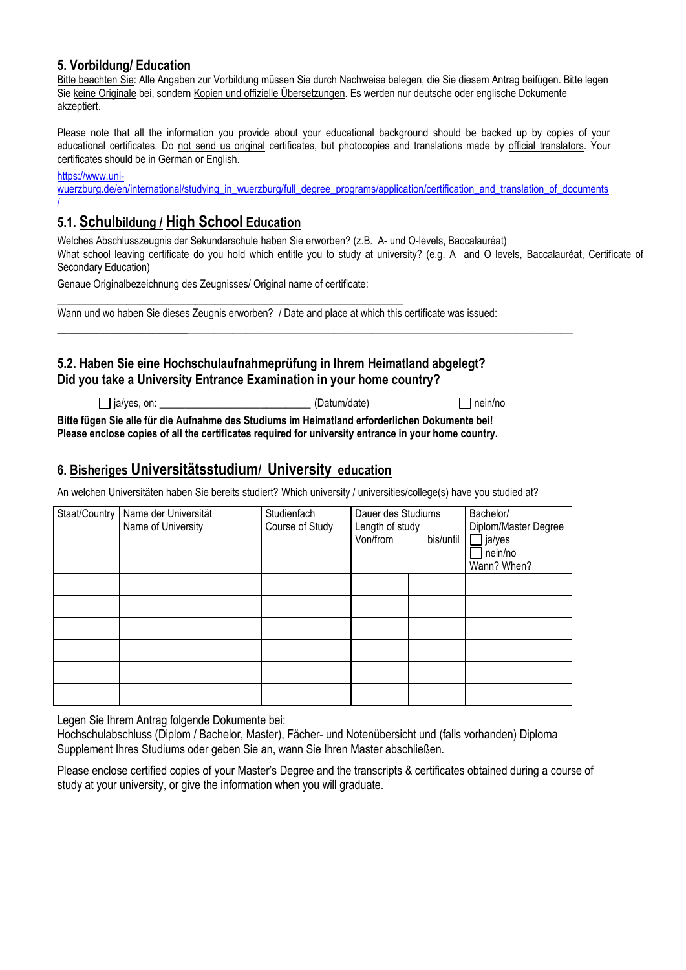## **5. Vorbildung/ Education**

Bitte beachten Sie: Alle Angaben zur Vorbildung müssen Sie durch Nachweise belegen, die Sie diesem Antrag beifügen. Bitte legen Sie keine Originale bei, sondern Kopien und offizielle Übersetzungen. Es werden nur deutsche oder englische Dokumente akzeptiert.

Please note that all the information you provide about your educational background should be backed up by copies of your educational certificates. Do not send us original certificates, but photocopies and translations made by official translators. Your certificates should be in German or English.

[https://www.uni-](https://www.uni-wuerzburg.de/en/international/studying_in_wuerzburg/full_degree_programs/application/certification_and_translation_of_documents/)

[wuerzburg.de/en/international/studying\\_in\\_wuerzburg/full\\_degree\\_programs/application/certification\\_and\\_translation\\_of\\_documents](https://www.uni-wuerzburg.de/en/international/studying_in_wuerzburg/full_degree_programs/application/certification_and_translation_of_documents/) [/](https://www.uni-wuerzburg.de/en/international/studying_in_wuerzburg/full_degree_programs/application/certification_and_translation_of_documents/)

# **5.1. Schulbildung / High School Education**

Welches Abschlusszeugnis der Sekundarschule haben Sie erworben? (z.B. A- und O-levels, Baccalauréat)

What school leaving certificate do you hold which entitle you to study at university? (e.g. A and O levels, Baccalauréat, Certificate of Secondary Education)

Genaue Originalbezeichnung des Zeugnisses/ Original name of certificate:

\_\_\_\_\_\_\_\_\_\_\_\_\_\_\_\_\_\_\_\_\_\_\_\_\_\_\_\_\_\_\_\_\_\_\_\_\_\_\_\_\_\_\_\_\_\_\_\_\_\_\_\_\_\_\_ Wann und wo haben Sie dieses Zeugnis erworben? / Date and place at which this certificate was issued:

# **5.2. Haben Sie eine Hochschulaufnahmeprüfung in Ihrem Heimatland abgelegt? Did you take a University Entrance Examination in your home country?**

 $\Box$  ia/ves. on:  $\Box$  ia/ves. on:  $\Box$  ia/ves. on:

\_\_\_\_\_\_\_\_\_\_\_\_\_\_\_\_\_\_\_\_\_\_\_\_\_\_\_\_\_\_\_\_\_\_\_\_\_\_\_\_\_\_\_\_\_\_\_\_\_\_\_\_\_\_\_\_\_\_\_\_\_\_\_\_\_\_\_\_\_\_\_\_\_\_\_\_\_\_\_\_\_\_\_\_\_\_

**Bitte fügen Sie alle für die Aufnahme des Studiums im Heimatland erforderlichen Dokumente bei! Please enclose copies of all the certificates required for university entrance in your home country.**

# **6. Bisheriges Universitätsstudium/ University education**

An welchen Universitäten haben Sie bereits studiert? Which university / universities/college(s) have you studied at?

| Staat/Country | Name der Universität<br>Name of University | Studienfach<br>Course of Study | Dauer des Studiums<br>Length of study<br>Von/from<br>bis/until | Bachelor/<br>Diplom/Master Degree<br>$\Box$ ja/yes<br>nein/no<br>Wann? When? |
|---------------|--------------------------------------------|--------------------------------|----------------------------------------------------------------|------------------------------------------------------------------------------|
|               |                                            |                                |                                                                |                                                                              |
|               |                                            |                                |                                                                |                                                                              |
|               |                                            |                                |                                                                |                                                                              |
|               |                                            |                                |                                                                |                                                                              |
|               |                                            |                                |                                                                |                                                                              |
|               |                                            |                                |                                                                |                                                                              |

Legen Sie Ihrem Antrag folgende Dokumente bei:

Hochschulabschluss (Diplom / Bachelor, Master), Fächer- und Notenübersicht und (falls vorhanden) Diploma Supplement Ihres Studiums oder geben Sie an, wann Sie Ihren Master abschließen.

Please enclose certified copies of your Master's Degree and the transcripts & certificates obtained during a course of study at your university, or give the information when you will graduate.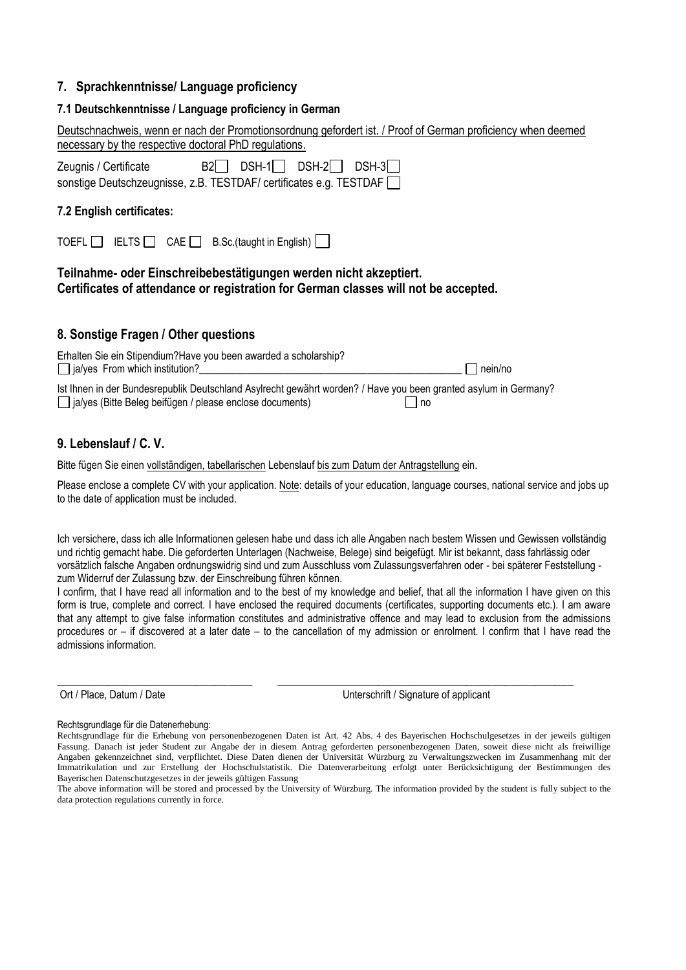### **7. Sprachkenntnisse/ Language proficiency**

### **7.1 Deutschkenntnisse / Language proficiency in German**

| Deutschnachweis, wenn er nach der Promotionsordnung gefordert ist. / Proof of German proficiency when deemed<br>necessary by the respective doctoral PhD regulations.                |
|--------------------------------------------------------------------------------------------------------------------------------------------------------------------------------------|
| $B2$ DSH-1<br>$DSH-2$<br>DSH-31 1<br>Zeugnis / Certificate<br>sonstige Deutschzeugnisse, z.B. TESTDAF/ certificates e.g. TESTDAF                                                     |
| 7.2 English certificates:                                                                                                                                                            |
| IELTS $\Box$ CAE $\Box$ B.Sc.(taught in English)  <br><b>TOEFL</b>                                                                                                                   |
| Teilnahme- oder Einschreibebestätigungen werden nicht akzeptiert.<br>Certificates of attendance or registration for German classes will not be accepted.                             |
| 8. Sonstige Fragen / Other questions                                                                                                                                                 |
| Erhalten Sie ein Stipendium?Have you been awarded a scholarship?<br>$\Box$ ja/yes From which institution?<br>nein/no                                                                 |
| Ist Ihnen in der Bundesrepublik Deutschland Asylrecht gewährt worden? / Have you been granted asylum in Germany?<br>□ ja/yes (Bitte Beleg beifügen / please enclose documents)<br>no |

# **9. Lebenslauf / C. V.**

Bitte fügen Sie einen vollständigen, tabellarischen Lebenslauf bis zum Datum der Antragstellung ein.

Please enclose a complete CV with your application. Note: details of your education, language courses, national service and jobs up to the date of application must be included.

Ich versichere, dass ich alle Informationen gelesen habe und dass ich alle Angaben nach bestem Wissen und Gewissen vollständig und richtig gemacht habe. Die geforderten Unterlagen (Nachweise, Belege) sind beigefügt. Mir ist bekannt, dass fahrlässig oder vorsätzlich falsche Angaben ordnungswidrig sind und zum Ausschluss vom Zulassungsverfahren oder - bei späterer Feststellung zum Widerruf der Zulassung bzw. der Einschreibung führen können.

I confirm, that I have read all information and to the best of my knowledge and belief, that all the information I have given on this form is true, complete and correct. I have enclosed the required documents (certificates, supporting documents etc.). I am aware that any attempt to give false information constitutes and administrative offence and may lead to exclusion from the admissions procedures or – if discovered at a later date – to the cancellation of my admission or enrolment. I confirm that I have read the admissions information.

\_\_\_\_\_\_\_\_\_\_\_\_\_\_\_\_\_\_\_\_\_\_\_\_\_\_\_\_\_\_\_ \_\_\_\_\_\_\_\_\_\_\_\_\_\_\_\_\_\_\_\_\_\_\_\_\_\_\_\_\_\_\_\_\_\_\_\_\_\_\_\_\_\_\_\_\_\_\_

Ort / Place, Datum / Date Unterschrift / Signature of applicant

#### Rechtsgrundlage für die Datenerhebung:

Rechtsgrundlage für die Erhebung von personenbezogenen Daten ist Art. 42 Abs. 4 des Bayerischen Hochschulgesetzes in der jeweils gültigen Fassung. Danach ist jeder Student zur Angabe der in diesem Antrag geforderten personenbezogenen Daten, soweit diese nicht als freiwillige Angaben gekennzeichnet sind, verpflichtet. Diese Daten dienen der Universität Würzburg zu Verwaltungszwecken im Zusammenhang mit der Immatrikulation und zur Erstellung der Hochschulstatistik. Die Datenverarbeitung erfolgt unter Berücksichtigung der Bestimmungen des Bayerischen Datenschutzgesetzes in der jeweils gültigen Fassung

The above information will be stored and processed by the University of Würzburg. The information provided by the student is fully subject to the data protection regulations currently in force.